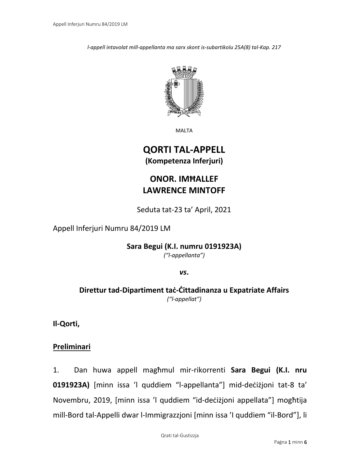*l-appell intavolat mill-appellanta ma sarx skont is-subartikolu 25A(8) tal-Kap. 217*



MALTA

# **QORTI TAL-APPELL (Kompetenza Inferjuri)**

# **ONOR. IMĦALLEF LAWRENCE MINTOFF**

Seduta tat-23 ta' April, 2021

### Appell Inferjuri Numru 84/2019 LM

**Sara Begui (K.I. numru 0191923A)**

*("l-appellanta")*

*vs***.**

**Direttur tad-Dipartiment taċ-Ċittadinanza u Expatriate Affairs** *("l-appellat")*

**Il-Qorti,**

### **Preliminari**

1. Dan huwa appell magħmul mir-rikorrenti **Sara Begui (K.I. nru 0191923A)** [minn issa 'l quddiem "l-appellanta"] mid-deċiżjoni tat-8 ta' Novembru, 2019, [minn issa 'l quddiem "id-deċiżjoni appellata"] mogħtija mill-Bord tal-Appelli dwar l-Immigrazzjoni [minn issa 'I quddiem "il-Bord"], li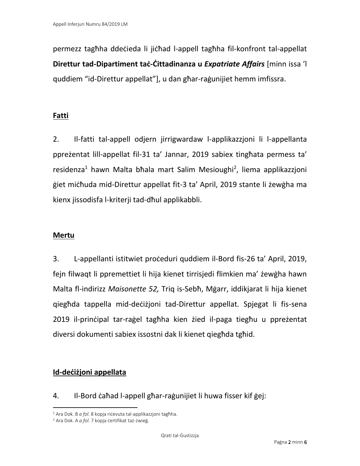permezz tagħha ddeċieda li jiċħad l-appell tagħha fil-konfront tal-appellat **Direttur tad-Dipartiment taċ-Ċittadinanza u** *Expatriate Affairs* [minn issa 'l quddiem "id-Direttur appellat"], u dan għar-raġunijiet hemm imfissra.

# **Fatti**

2. Il-fatti tal-appell odjern jirrigwardaw l-applikazzjoni li l-appellanta ppreżentat lill-appellat fil-31 ta' Jannar, 2019 sabiex tingħata permess ta' residenza<sup>1</sup> hawn Malta bħala mart Salim Mesioughi<sup>2</sup>, liema applikazzjoni ġiet miċħuda mid-Direttur appellat fit-3 ta' April, 2019 stante li żewġha ma kienx jissodisfa l-kriterji tad-dħul applikabbli.

# **Mertu**

3. L-appellanti istitwiet proċeduri quddiem il-Bord fis-26 ta' April, 2019, fejn filwaqt li ppremettiet li hija kienet tirrisjedi flimkien ma' żewġha hawn Malta fl-indirizz *Maisonette 52,* Triq is-Sebħ, Mġarr, iddikjarat li hija kienet qiegħda tappella mid-deċiżjoni tad-Direttur appellat. Spjegat li fis-sena 2019 il-prinċipal tar-raġel tagħha kien żied il-paga tiegħu u ppreżentat diversi dokumenti sabiex issostni dak li kienet qiegħda tgħid.

# **Id-deċiżjoni appellata**

4. Il-Bord ċaħad l-appell għar-raġunijiet li huwa fisser kif ġej:

<sup>1</sup> Ara Dok. B *a fol.* 8 kopja riċevuta tal-applikazzjoni tagħha.

<sup>2</sup> Ara Dok. A *a fol.* 7 kopja ċertifikat taż-żwieġ.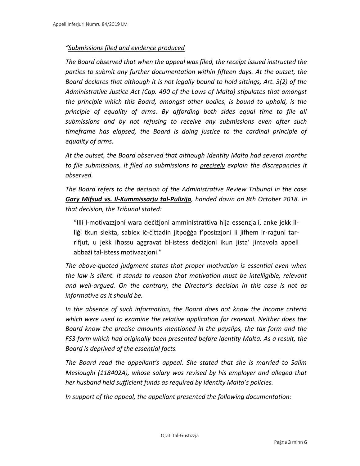#### *"Submissions filed and evidence produced*

*The Board observed that when the appeal was filed, the receipt issued instructed the parties to submit any further documentation within fifteen days. At the outset, the Board declares that although it is not legally bound to hold sittings, Art. 3(2) of the Administrative Justice Act (Cap. 490 of the Laws of Malta) stipulates that amongst the principle which this Board, amongst other bodies, is bound to uphold, is the principle of equality of arms. By affording both sides equal time to file all submissions and by not refusing to receive any submissions even after such timeframe has elapsed, the Board is doing justice to the cardinal principle of equality of arms.*

*At the outset, the Board observed that although Identity Malta had several months to file submissions, it filed no submissions to precisely explain the discrepancies it observed.*

*The Board refers to the decision of the Administrative Review Tribunal in the case Gary Mifsud vs. Il-Kummissarju tal-Pulizija, handed down on 8th October 2018. In that decision, the Tribunal stated:*

"Illi l-motivazzjoni wara deċiżjoni amministrattiva hija essenzjali, anke jekk illiġi tkun siekta, sabiex iċ-ċittadin jitpoġġa f'posizzjoni li jifhem ir-raġuni tarrifjut, u jekk iħossu aggravat bl-istess deċiżjoni ikun jista' jintavola appell abbażi tal-istess motivazzjoni."

*The above-quoted judgment states that proper motivation is essential even when the law is silent. It stands to reason that motivation must be intelligible, relevant and well-argued. On the contrary, the Director's decision in this case is not as informative as it should be.*

*In the absence of such information, the Board does not know the income criteria which were used to examine the relative application for renewal. Neither does the Board know the precise amounts mentioned in the payslips, the tax form and the FS3 form which had originally been presented before Identity Malta. As a result, the Board is deprived of the essential facts.*

*The Board read the appellant's appeal. She stated that she is married to Salim Mesioughi (118402A), whose salary was revised by his employer and alleged that her husband held sufficient funds as required by Identity Malta's policies.*

*In support of the appeal, the appellant presented the following documentation:*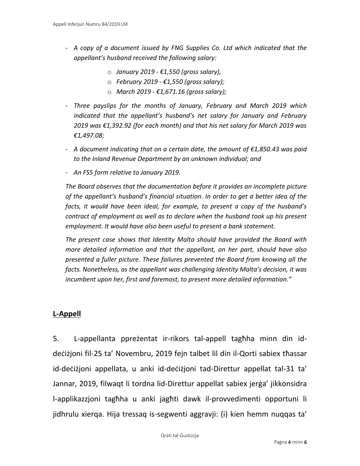- *A copy of a document issued by FNG Supplies Co. Ltd which indicated that the appellant's husband received the following salary:*
	- o *January 2019 - €1,550 (gross salary),*
	- o *February 2019 - €1,550 (gross salary);*
	- o *March 2019 - €1,671.16 (gross salary);*
- *Three payslips for the months of January, February and March 2019 which indicated that the appellant's husband's net salary for January and February 2019 was €1,392.92 (for each month) and that his net salary for March 2019 was €1,497.08;*
- *A document indicating that on a certain date, the amount of €1,850.43 was paid to the Inland Revenue Department by an unknown individual; and*
- *An FS5 form relative to January 2019.*

*The Board observes that the documentation before it provides an incomplete picture of the appellant's husband's financial situation. In order to get a better idea of the facts, it would have been ideal, for example, to present a copy of the husband's contract of employment as well as to declare when the husband took up his present employment. It would have also been useful to present a bank statement.*

*The present case shows that Identity Malta should have provided the Board with more detailed information and that the appellant, on her part, should have also presented a fuller picture. These failures prevented the Board from knowing all the facts. Nonetheless, as the appellant was challenging Identity Malta's decision, it was incumbent upon her, first and foremost, to present more detailed information."*

### **L-Appell**

5. L-appellanta ppreżentat ir-rikors tal-appell tagħha minn din iddeċiżjoni fil-25 ta' Novembru, 2019 fejn talbet lil din il-Qorti sabiex tħassar id-deċiżjoni appellata, u anki id-deċiżjoni tad-Direttur appellat tal-31 ta' Jannar, 2019, filwaqt li tordna lid-Direttur appellat sabiex jerġa' jikkonsidra l-applikazzjoni tagħha u anki jagħti dawk il-provvedimenti opportuni li jidhrulu xierqa. Hija tressaq is-segwenti aggravji: (i) kien hemm nuqqas ta'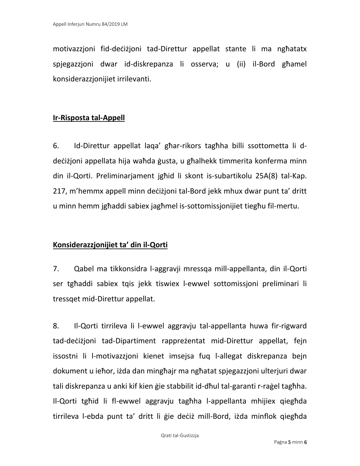motivazzjoni fid-deċiżjoni tad-Direttur appellat stante li ma ngħatatx spjegazzjoni dwar id-diskrepanza li osserva; u (ii) il-Bord għamel konsiderazzjonijiet irrilevanti.

## **Ir-Risposta tal-Appell**

6. Id-Direttur appellat laqa' għar-rikors tagħha billi ssottometta li ddeċiżjoni appellata hija waħda ġusta, u għalhekk timmerita konferma minn din il-Qorti. Preliminarjament jgħid li skont is-subartikolu 25A(8) tal-Kap. 217, m'hemmx appell minn deċiżjoni tal-Bord jekk mhux dwar punt ta' dritt u minn hemm jgħaddi sabiex jagħmel is-sottomissjonijiet tiegħu fil-mertu.

### **Konsiderazzjonijiet ta' din il-Qorti**

7. Qabel ma tikkonsidra l-aggravji mressqa mill-appellanta, din il-Qorti ser tgħaddi sabiex tqis jekk tiswiex l-ewwel sottomissjoni preliminari li tressqet mid-Direttur appellat.

8. Il-Qorti tirrileva li l-ewwel aggravju tal-appellanta huwa fir-rigward tad-deċiżjoni tad-Dipartiment rappreżentat mid-Direttur appellat, fejn issostni li l-motivazzjoni kienet imsejsa fuq l-allegat diskrepanza bejn dokument u ieħor, iżda dan mingħajr ma ngħatat spjegazzjoni ulterjuri dwar tali diskrepanza u anki kif kien ġie stabbilit id-dħul tal-garanti r-raġel tagħha. Il-Qorti tgħid li fl-ewwel aggravju tagħha l-appellanta mhijiex qiegħda tirrileva l-ebda punt ta' dritt li ġie deċiż mill-Bord, iżda minflok qiegħda